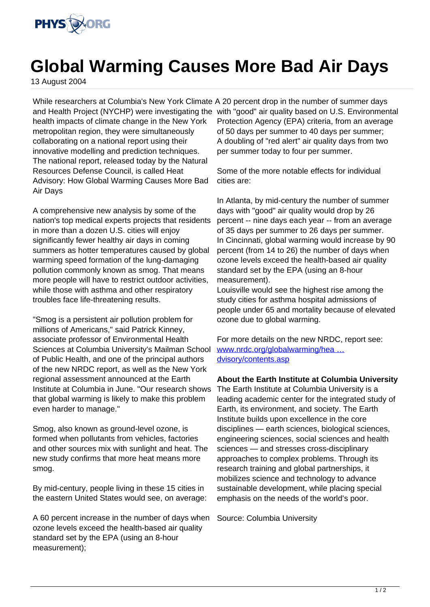

## **Global Warming Causes More Bad Air Days**

13 August 2004

While researchers at Columbia's New York Climate A 20 percent drop in the number of summer days health impacts of climate change in the New York metropolitan region, they were simultaneously collaborating on a national report using their innovative modelling and prediction techniques. The national report, released today by the Natural Resources Defense Council, is called Heat Advisory: How Global Warming Causes More Bad Air Days

A comprehensive new analysis by some of the nation's top medical experts projects that residents in more than a dozen U.S. cities will enjoy significantly fewer healthy air days in coming summers as hotter temperatures caused by global warming speed formation of the lung-damaging pollution commonly known as smog. That means more people will have to restrict outdoor activities, while those with asthma and other respiratory troubles face life-threatening results.

"Smog is a persistent air pollution problem for millions of Americans," said Patrick Kinney, associate professor of Environmental Health Sciences at Columbia University's Mailman School of Public Health, and one of the principal authors of the new NRDC report, as well as the New York regional assessment announced at the Earth Institute at Columbia in June. "Our research shows that global warming is likely to make this problem even harder to manage."

Smog, also known as ground-level ozone, is formed when pollutants from vehicles, factories and other sources mix with sunlight and heat. The new study confirms that more heat means more smog.

By mid-century, people living in these 15 cities in the eastern United States would see, on average:

A 60 percent increase in the number of days when ozone levels exceed the health-based air quality standard set by the EPA (using an 8-hour measurement);

and Health Project (NYCHP) were investigating the with "good" air quality based on U.S. Environmental Protection Agency (EPA) criteria, from an average of 50 days per summer to 40 days per summer; A doubling of "red alert" air quality days from two per summer today to four per summer.

> Some of the more notable effects for individual cities are:

In Atlanta, by mid-century the number of summer days with "good" air quality would drop by 26 percent -- nine days each year -- from an average of 35 days per summer to 26 days per summer. In Cincinnati, global warming would increase by 90 percent (from 14 to 26) the number of days when ozone levels exceed the health-based air quality standard set by the EPA (using an 8-hour measurement).

Louisville would see the highest rise among the study cities for asthma hospital admissions of people under 65 and mortality because of elevated ozone due to global warming.

For more details on the new NRDC, report see: [www.nrdc.org/globalwarming/hea …](http://www.nrdc.org/globalwarming/heatadvisory/contents.asp) [dvisory/contents.asp](http://www.nrdc.org/globalwarming/heatadvisory/contents.asp)

**About the Earth Institute at Columbia University** The Earth Institute at Columbia University is a leading academic center for the integrated study of Earth, its environment, and society. The Earth Institute builds upon excellence in the core disciplines — earth sciences, biological sciences, engineering sciences, social sciences and health sciences — and stresses cross-disciplinary approaches to complex problems. Through its research training and global partnerships, it mobilizes science and technology to advance sustainable development, while placing special emphasis on the needs of the world's poor.

Source: Columbia University